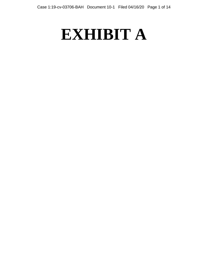# **EXHIBIT A**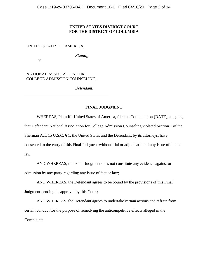## **UNITED STATES DISTRICT COURT FOR THE DISTRICT OF COLUMBIA**

## UNITED STATES OF AMERICA,

v.

 *Plaintiff*,

NATIONAL ASSOCIATION FOR COLLEGE ADMISSION COUNSELING,

 *Defendant*.

# **FINAL JUDGMENT**

WHEREAS, Plaintiff, United States of America, filed its Complaint on [DATE], alleging that Defendant National Association for College Admission Counseling violated Section 1 of the Sherman Act, 15 U.S.C. § 1, the United States and the Defendant, by its attorneys, have consented to the entry of this Final Judgment without trial or adjudication of any issue of fact or law;

AND WHEREAS, this Final Judgment does not constitute any evidence against or admission by any party regarding any issue of fact or law;

AND WHEREAS, the Defendant agrees to be bound by the provisions of this Final Judgment pending its approval by this Court;

AND WHEREAS, the Defendant agrees to undertake certain actions and refrain from certain conduct for the purpose of remedying the anticompetitive effects alleged in the Complaint;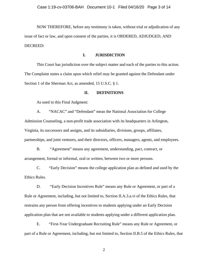NOW THEREFORE, before any testimony is taken, without trial or adjudication of any issue of fact or law, and upon consent of the parties, it is ORDERED, ADJUDGED, AND DECREED:

## **I. JURISDICTION**

This Court has jurisdiction over the subject matter and each of the parties to this action. The Complaint states a claim upon which relief may be granted against the Defendant under Section 1 of the Sherman Act, as amended, 15 U.S.C. § 1.

## **II. DEFINITIONS**

As used in this Final Judgment:

A. "NACAC" and "Defendant" mean the National Association for College Admission Counseling, a non-profit trade association with its headquarters in Arlington, Virginia, its successors and assigns, and its subsidiaries, divisions, groups, affiliates, partnerships, and joint ventures, and their directors, officers, managers, agents, and employees.

B. "Agreement" means any agreement, understanding, pact, contract, or arrangement, formal or informal, oral or written, between two or more persons.

C. "Early Decision" means the college application plan as defined and used by the Ethics Rules.

D. "Early Decision Incentives Rule" means any Rule or Agreement, or part of a Rule or Agreement, including, but not limited to, Section II.A.3.a.vi of the Ethics Rules, that restrains any person from offering incentives to students applying under an Early Decision application plan that are not available to students applying under a different application plan.

E. "First-Year Undergraduate Recruiting Rule" means any Rule or Agreement, or part of a Rule or Agreement, including, but not limited to, Section II.B.5 of the Ethics Rules, that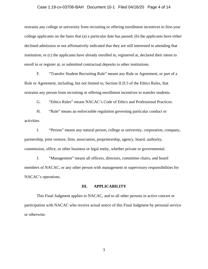## Case 1:19-cv-03706-BAH Document 10-1 Filed 04/16/20 Page 4 of 14

restrains any college or university from recruiting or offering enrollment incentives to first-year college applicants on the basis that (a) a particular date has passed; (b) the applicants have either declined admission or not affirmatively indicated that they are still interested in attending that institution; or (c) the applicants have already enrolled in, registered at, declared their intent to enroll in or register at, or submitted contractual deposits to other institutions.

F. "Transfer Student Recruiting Rule" means any Rule or Agreement, or part of a Rule or Agreement, including, but not limited to, Section II.D.5 of the Ethics Rules, that restrains any person from recruiting or offering enrollment incentives to transfer students.

G. "Ethics Rules" means NACAC's Code of Ethics and Professional Practices.

H. "Rule" means an enforceable regulation governing particular conduct or activities.

I. "Person" means any natural person, college or university, corporation, company, partnership, joint venture, firm, association, proprietorship, agency, board, authority, commission, office, or other business or legal entity, whether private or governmental.

J. "Management" means all officers, directors, committee chairs, and board members of NACAC, or any other person with management or supervisory responsibilities for NACAC's operations.

## **III. APPLICABILITY**

This Final Judgment applies to NACAC, and to all other persons in active concert or participation with NACAC who receive actual notice of this Final Judgment by personal service or otherwise.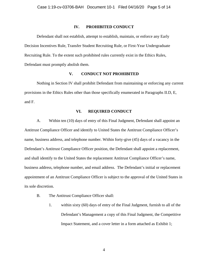## **IV. PROHIBITED CONDUCT**

Defendant shall not establish, attempt to establish, maintain, or enforce any Early Decision Incentives Rule, Transfer Student Recruiting Rule, or First-Year Undergraduate Recruiting Rule. To the extent such prohibited rules currently exist in the Ethics Rules, Defendant must promptly abolish them.

## **V. CONDUCT NOT PROHIBITED**

Nothing in Section IV shall prohibit Defendant from maintaining or enforcing any current provisions in the Ethics Rules other than those specifically enumerated in Paragraphs II.D, E, and F.

## **VI. REQUIRED CONDUCT**

A. Within ten (10) days of entry of this Final Judgment, Defendant shall appoint an Antitrust Compliance Officer and identify to United States the Antitrust Compliance Officer's name, business address, and telephone number. Within forty-give (45) days of a vacancy in the Defendant's Antitrust Compliance Officer position, the Defendant shall appoint a replacement, and shall identify to the United States the replacement Antitrust Compliance Officer's name, business address, telephone number, and email address. The Defendant's initial or replacement appointment of an Antitrust Compliance Officer is subject to the approval of the United States in its sole discretion.

- B. The Antitrust Compliance Officer shall:
	- 1. within sixty (60) days of entry of the Final Judgment, furnish to all of the Defendant's Management a copy of this Final Judgment, the Competitive Impact Statement, and a cover letter in a form attached as Exhibit 1;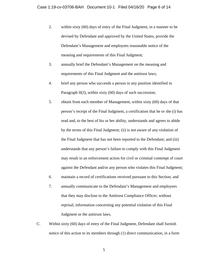- 2. within sixty (60) days of entry of the Final Judgment, in a manner to be devised by Defendant and approved by the United States, provide the Defendant's Management and employees reasonable notice of the meaning and requirements of this Final Judgment;
- 3. annually brief the Defendant's Management on the meaning and requirements of this Final Judgment and the antitrust laws;
- 4. brief any person who succeeds a person in any position identified in Paragraph  $II(J)$ , within sixty  $(60)$  days of such succession;
- 5. obtain from each member of Management, within sixty (60) days of that person's receipt of the Final Judgment, a certification that he or she (i) has read and, to the best of his or her ability, understands and agrees to abide by the terms of this Final Judgment; (ii) is not aware of any violation of the Final Judgment that has not been reported to the Defendant; and (iii) understands that any person's failure to comply with this Final Judgment may result in an enforcement action for civil or criminal contempt of court against the Defendant and/or any person who violates this Final Judgment;
- 6. maintain a record of certifications received pursuant to this Section; and
- 7. annually communicate to the Defendant's Management and employees that they may disclose to the Antitrust Compliance Officer, without reprisal, information concerning any potential violation of this Final Judgment or the antitrust laws.
- C. Within sixty (60) days of entry of the Final Judgment, Defendant shall furnish notice of this action to its members through (1) direct communication, in a form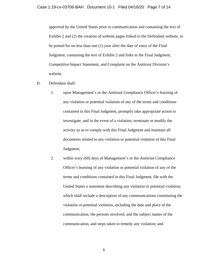approved by the United States prior to communication and containing the text of Exhibit 2 and (2) the creation of website pages linked to the Defendant website, to be posted for no less than one (1) year after the date of entry of the Final Judgment, containing the text of Exhibit 2 and links to the Final Judgment, Competitive Impact Statement, and Complaint on the Antitrust Division's website.

- D. Defendant shall:
	- 1. upon Management's or the Antitrust Compliance Officer's learning of any violation or potential violation of any of the terms and conditions contained in this Final Judgment, promptly take appropriate action to investigate, and in the event of a violation, terminate or modify the activity so as to comply with this Final Judgment and maintain all documents related to any violation or potential violation of this Final Judgment;
	- 2. within sixty (60) days of Management's or the Antitrust Compliance Officer's learning of any violation or potential violation of any of the terms and conditions contained in this Final Judgment, file with the United States a statement describing any violation or potential violation, which shall include a description of any communications constituting the violation or potential violation, including the date and place of the communication, the persons involved, and the subject matter of the communication, and steps taken to remedy any violation; and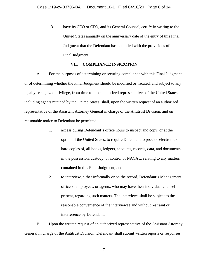3. have its CEO or CFO, and its General Counsel, certify in writing to the United States annually on the anniversary date of the entry of this Final Judgment that the Defendant has complied with the provisions of this Final Judgment.

## **VII. COMPLIANCE INSPECTION**

A. For the purposes of determining or securing compliance with this Final Judgment, or of determining whether the Final Judgment should be modified or vacated, and subject to any legally recognized privilege, from time to time authorized representatives of the United States, including agents retained by the United States, shall, upon the written request of an authorized representative of the Assistant Attorney General in charge of the Antitrust Division, and on reasonable notice to Defendant be permitted:

- 1. access during Defendant's office hours to inspect and copy, or at the option of the United States, to require Defendant to provide electronic or hard copies of, all books, ledgers, accounts, records, data, and documents in the possession, custody, or control of NACAC, relating to any matters contained in this Final Judgment; and
- 2. to interview, either informally or on the record, Defendant's Management, officers, employees, or agents, who may have their individual counsel present, regarding such matters. The interviews shall be subject to the reasonable convenience of the interviewee and without restraint or interference by Defendant.

B. Upon the written request of an authorized representative of the Assistant Attorney General in charge of the Antitrust Division, Defendant shall submit written reports or responses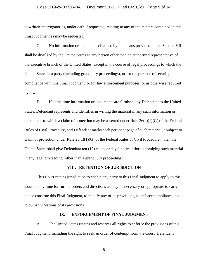## Case 1:19-cv-03706-BAH Document 10-1 Filed 04/16/20 Page 9 of 14

to written interrogatories, under oath if requested, relating to any of the matters contained in this Final Judgment as may be requested.

C. No information or documents obtained by the means provided in this Section VII shall be divulged by the United States to any person other than an authorized representative of the executive branch of the United States, except in the course of legal proceedings to which the United States is a party (including grand jury proceedings), or for the purpose of securing compliance with this Final Judgment, or for law enforcement purposes, or as otherwise required by law.

D. If at the time information or documents are furnished by Defendant to the United States, Defendant represents and identifies in writing the material in any such information or documents to which a claim of protection may be asserted under Rule  $26(c)(1)(G)$  of the Federal Rules of Civil Procedure, and Defendant marks each pertinent page of such material, "Subject to claim of protection under Rule  $26(c)(1)(G)$  of the Federal Rules of Civil Procedure," then the United States shall give Defendant ten (10) calendar days' notice prior to divulging such material in any legal proceeding (other than a grand jury proceeding).

#### **VIII. RETENTION OF JURISDICTION**

This Court retains jurisdiction to enable any party to this Final Judgment to apply to this Court at any time for further orders and directions as may be necessary or appropriate to carry out or construe this Final Judgment, to modify any of its provisions, to enforce compliance, and to punish violations of its provisions.

## **IX. ENFORCEMENT OF FINAL JUDGMENT**

A. The United States retains and reserves all rights to enforce the provisions of this Final Judgment, including the right to seek an order of contempt from the Court. Defendant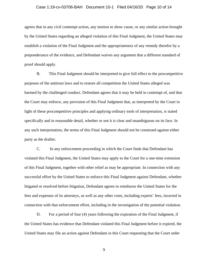#### Case 1:19-cv-03706-BAH Document 10-1 Filed 04/16/20 Page 10 of 14

agrees that in any civil contempt action, any motion to show cause, or any similar action brought by the United States regarding an alleged violation of this Final Judgment, the United States may establish a violation of the Final Judgment and the appropriateness of any remedy therefor by a preponderance of the evidence, and Defendant waives any argument that a different standard of proof should apply.

B. This Final Judgment should be interpreted to give full effect to the procompetitive purposes of the antitrust laws and to restore all competition the United States alleged was harmed by the challenged conduct. Defendant agrees that it may be held in contempt of, and that the Court may enforce, any provision of this Final Judgment that, as interpreted by the Court in light of these procompetitive principles and applying ordinary tools of interpretation, is stated specifically and in reasonable detail, whether or not it is clear and unambiguous on its face. In any such interpretation, the terms of this Final Judgment should not be construed against either party as the drafter.

C. In any enforcement proceeding in which the Court finds that Defendant has violated this Final Judgment, the United States may apply to the Court for a one-time extension of this Final Judgment, together with other relief as may be appropriate. In connection with any successful effort by the United States to enforce this Final Judgment against Defendant, whether litigated or resolved before litigation, Defendant agrees to reimburse the United States for the fees and expenses of its attorneys, as well as any other costs, including experts' fees, incurred in connection with that enforcement effort, including in the investigation of the potential violation.

D. For a period of four (4) years following the expiration of the Final Judgment, if the United States has evidence that Defendant violated this Final Judgment before it expired, the United States may file an action against Defendant in this Court requesting that the Court order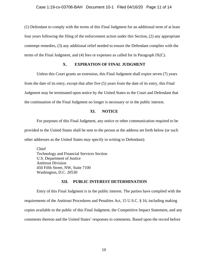(1) Defendant to comply with the terms of this Final Judgment for an additional term of at least four years following the filing of the enforcement action under this Section, (2) any appropriate contempt remedies, (3) any additional relief needed to ensure the Defendant complies with the terms of the Final Judgment, and (4) fees or expenses as called for in Paragraph IX(C).

## **X. EXPIRATION OF FINAL JUDGMENT**

Unless this Court grants an extension, this Final Judgment shall expire seven (7) years from the date of its entry, except that after five (5) years from the date of its entry, this Final Judgment may be terminated upon notice by the United States to the Court and Defendant that the continuation of the Final Judgment no longer is necessary or in the public interest.

## **XI. NOTICE**

For purposes of this Final Judgment, any notice or other communication required to be provided to the United States shall be sent to the person at the address set forth below (or such other addresses as the United States may specify in writing to Defendant):

Chief Technology and Financial Services Section U.S. Department of Justice Antitrust Division 450 Fifth Street, NW, Suite 7100 Washington, D.C. 20530

## **XII. PUBLIC INTEREST DETERMINATION**

Entry of this Final Judgment is in the public interest. The parties have complied with the requirements of the Antitrust Procedures and Penalties Act, 15 U.S.C. § 16, including making copies available to the public of this Final Judgment, the Competitive Impact Statement, and any comments thereon and the United States' responses to comments. Based upon the record before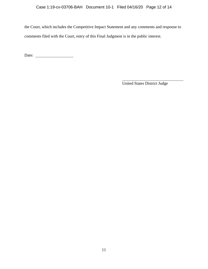the Court, which includes the Competitive Impact Statement and any comments and response to comments filed with the Court, entry of this Final Judgment is in the public interest.

Date:

United States District Judge

 $\overline{a}$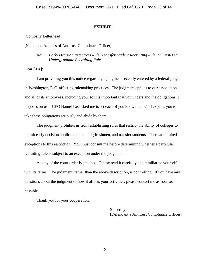# **EXHIBIT 1**

[Company Letterhead]

[Name and Address of Antitrust Compliance Officer]

Re: *Early Decision Incentives Rule, Transfer Student Recruiting Rule, or First-Year Undergraduate Recruiting Rule*

Dear [XX]:

I am providing you this notice regarding a judgment recently entered by a federal judge in Washington, D.C. affecting rulemaking practices. The judgment applies to our association and all of its employees, including you, so it is important that you understand the obligations it imposes on us. [CEO Name] has asked me to let each of you know that [s/he] expects you to take these obligations seriously and abide by them.

The judgment prohibits us from establishing rules that restrict the ability of colleges to recruit early decision applicants, incoming freshmen, and transfer students. There are limited exceptions to this restriction. You must consult me before determining whether a particular recruiting rule is subject to an exception under the judgment.

A copy of the court order is attached. Please read it carefully and familiarize yourself with its terms. The judgment, rather than the above description, is controlling. If you have any questions about the judgment or how it affects your activities, please contact me as soon as possible.

Thank you for your cooperation.

Sincerely, [Defendant's Antitrust Compliance Officer]